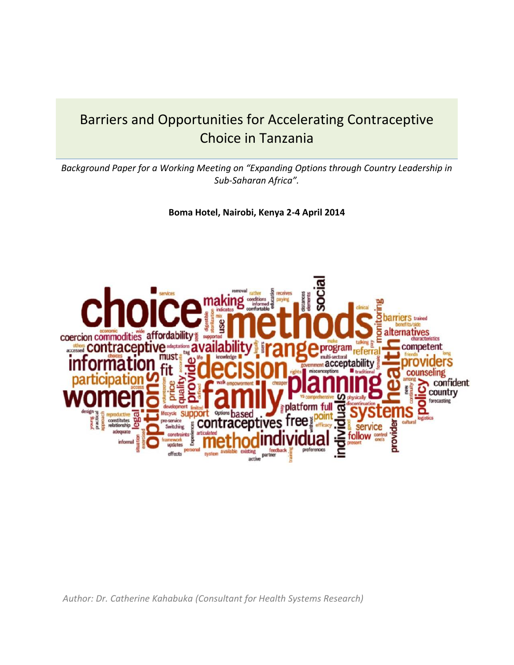# Barriers and Opportunities for Accelerating Contraceptive Choice in Tanzania

*Background Paper for a Working Meeting on "Expanding Options through Country Leadership in Sub-Saharan Africa".*

**Boma Hotel, Nairobi, Kenya 2-4 April 2014**



*Author: Dr. Catherine Kahabuka (Consultant for Health Systems Research)*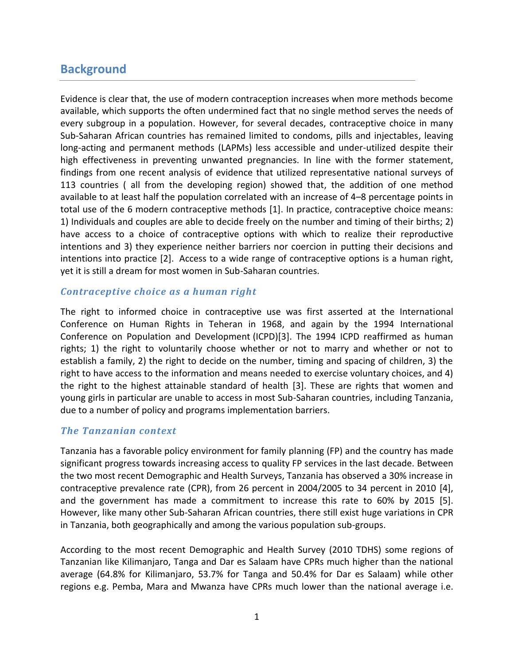## **Background**

Evidence is clear that, the use of modern contraception increases when more methods become available, which supports the often undermined fact that no single method serves the needs of every subgroup in a population. However, for several decades, contraceptive choice in many Sub-Saharan African countries has remained limited to condoms, pills and injectables, leaving long-acting and permanent methods (LAPMs) less accessible and under-utilized despite their high effectiveness in preventing unwanted pregnancies. In line with the former statement, findings from one recent analysis of evidence that utilized representative national surveys of 113 countries ( all from the developing region) showed that, the addition of one method available to at least half the population correlated with an increase of 4–8 percentage points in total use of the 6 modern contraceptive methods [\[1\]](#page-13-0). In practice, contraceptive choice means: 1) Individuals and couples are able to decide freely on the number and timing of their births; 2) have access to a choice of contraceptive options with which to realize their reproductive intentions and 3) they experience neither barriers nor coercion in putting their decisions and intentions into practice [\[2\]](#page-13-1). Access to a wide range of contraceptive options is a human right, yet it is still a dream for most women in Sub-Saharan countries.

#### *Contraceptive choice as a human right*

The right to informed choice in contraceptive use was first asserted at the International Conference on Human Rights in Teheran in 1968, and again by the 1994 International Conference on Population and Development (ICPD)[\[3\]](#page-13-2). The 1994 ICPD reaffirmed as human rights; 1) the right to voluntarily choose whether or not to marry and whether or not to establish a family, 2) the right to decide on the number, timing and spacing of children, 3) the right to have access to the information and means needed to exercise voluntary choices, and 4) the right to the highest attainable standard of health [\[3\]](#page-13-2). These are rights that women and young girls in particular are unable to access in most Sub-Saharan countries, including Tanzania, due to a number of policy and programs implementation barriers.

## *The Tanzanian context*

Tanzania has a favorable policy environment for family planning (FP) and the country has made significant progress towards increasing access to quality FP services in the last decade. Between the two most recent Demographic and Health Surveys, Tanzania has observed a 30% increase in contraceptive prevalence rate (CPR), from 26 percent in 2004/2005 to 34 percent in 2010 [\[4\]](#page-13-3), and the government has made a commitment to increase this rate to 60% by 2015 [\[5\]](#page-13-4). However, like many other Sub-Saharan African countries, there still exist huge variations in CPR in Tanzania, both geographically and among the various population sub-groups.

According to the most recent Demographic and Health Survey (2010 TDHS) some regions of Tanzanian like Kilimanjaro, Tanga and Dar es Salaam have CPRs much higher than the national average (64.8% for Kilimanjaro, 53.7% for Tanga and 50.4% for Dar es Salaam) while other regions e.g. Pemba, Mara and Mwanza have CPRs much lower than the national average i.e.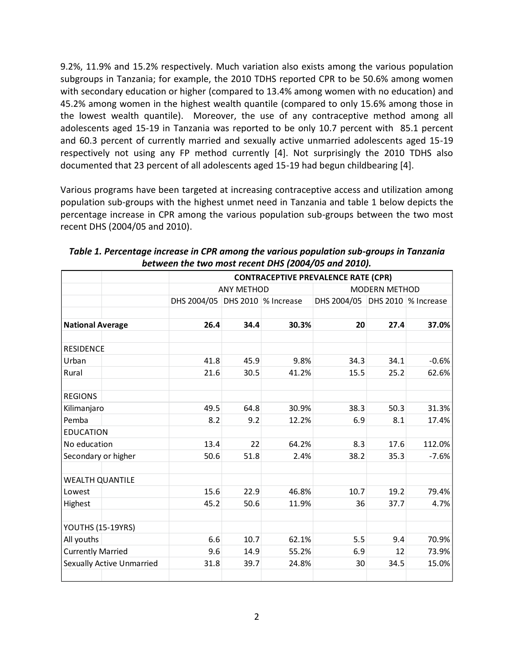9.2%, 11.9% and 15.2% respectively. Much variation also exists among the various population subgroups in Tanzania; for example, the 2010 TDHS reported CPR to be 50.6% among women with secondary education or higher (compared to 13.4% among women with no education) and 45.2% among women in the highest wealth quantile (compared to only 15.6% among those in the lowest wealth quantile). Moreover, the use of any contraceptive method among all adolescents aged 15-19 in Tanzania was reported to be only 10.7 percent with 85.1 percent and 60.3 percent of currently married and sexually active unmarried adolescents aged 15-19 respectively not using any FP method currently [\[4\]](#page-13-3). Not surprisingly the 2010 TDHS also documented that 23 percent of all adolescents aged 15-19 had begun childbearing [\[4\]](#page-13-3).

Various programs have been targeted at increasing contraceptive access and utilization among population sub-groups with the highest unmet need in Tanzania and table 1 below depicts the percentage increase in CPR among the various population sub-groups between the two most recent DHS (2004/05 and 2010).

|                          |                                  | <b>CONTRACEPTIVE PREVALENCE RATE (CPR)</b> |                   |       |                                 |      |         |  |  |  |
|--------------------------|----------------------------------|--------------------------------------------|-------------------|-------|---------------------------------|------|---------|--|--|--|
|                          |                                  |                                            | <b>ANY METHOD</b> |       | <b>MODERN METHOD</b>            |      |         |  |  |  |
|                          |                                  | DHS 2004/05 DHS 2010 % Increase            |                   |       | DHS 2004/05 DHS 2010 % Increase |      |         |  |  |  |
|                          |                                  |                                            |                   |       |                                 |      |         |  |  |  |
| <b>National Average</b>  |                                  | 26.4                                       | 34.4              | 30.3% | 20                              | 27.4 | 37.0%   |  |  |  |
| <b>RESIDENCE</b>         |                                  |                                            |                   |       |                                 |      |         |  |  |  |
| Urban                    |                                  | 41.8                                       | 45.9              | 9.8%  | 34.3                            | 34.1 | $-0.6%$ |  |  |  |
| Rural                    |                                  | 21.6                                       | 30.5              | 41.2% | 15.5                            | 25.2 | 62.6%   |  |  |  |
| <b>REGIONS</b>           |                                  |                                            |                   |       |                                 |      |         |  |  |  |
| Kilimanjaro              |                                  | 49.5                                       | 64.8              | 30.9% | 38.3                            | 50.3 | 31.3%   |  |  |  |
| Pemba                    |                                  | 8.2                                        | 9.2               | 12.2% | 6.9                             | 8.1  | 17.4%   |  |  |  |
| <b>EDUCATION</b>         |                                  |                                            |                   |       |                                 |      |         |  |  |  |
| No education             |                                  | 13.4                                       | 22                | 64.2% | 8.3                             | 17.6 | 112.0%  |  |  |  |
| Secondary or higher      |                                  | 50.6                                       | 51.8              | 2.4%  | 38.2                            | 35.3 | $-7.6%$ |  |  |  |
| <b>WEALTH QUANTILE</b>   |                                  |                                            |                   |       |                                 |      |         |  |  |  |
| Lowest                   |                                  | 15.6                                       | 22.9              | 46.8% | 10.7                            | 19.2 | 79.4%   |  |  |  |
| Highest                  |                                  | 45.2                                       | 50.6              | 11.9% | 36                              | 37.7 | 4.7%    |  |  |  |
| YOUTHS (15-19YRS)        |                                  |                                            |                   |       |                                 |      |         |  |  |  |
| All youths               |                                  | 6.6                                        | 10.7              | 62.1% | 5.5                             | 9.4  | 70.9%   |  |  |  |
| <b>Currently Married</b> |                                  | 9.6                                        | 14.9              | 55.2% | 6.9                             | 12   | 73.9%   |  |  |  |
|                          | <b>Sexually Active Unmarried</b> | 31.8                                       | 39.7              | 24.8% | 30                              | 34.5 | 15.0%   |  |  |  |

*Table 1. Percentage increase in CPR among the various population sub-groups in Tanzania between the two most recent DHS (2004/05 and 2010).*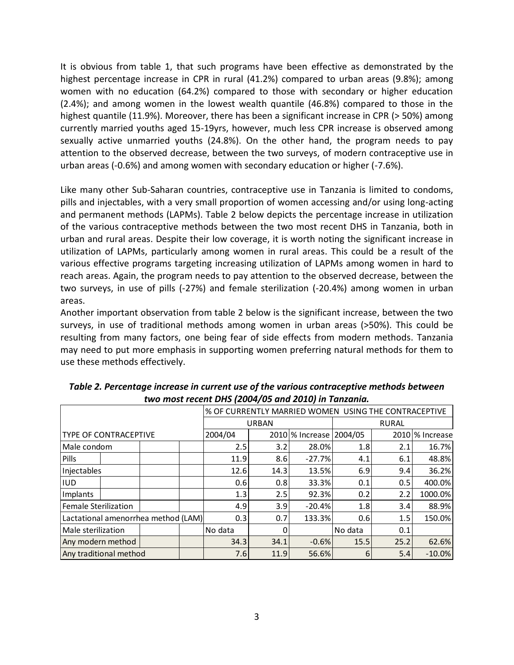It is obvious from table 1, that such programs have been effective as demonstrated by the highest percentage increase in CPR in rural (41.2%) compared to urban areas (9.8%); among women with no education (64.2%) compared to those with secondary or higher education (2.4%); and among women in the lowest wealth quantile (46.8%) compared to those in the highest quantile (11.9%). Moreover, there has been a significant increase in CPR (> 50%) among currently married youths aged 15-19yrs, however, much less CPR increase is observed among sexually active unmarried youths (24.8%). On the other hand, the program needs to pay attention to the observed decrease, between the two surveys, of modern contraceptive use in urban areas (-0.6%) and among women with secondary education or higher (-7.6%).

Like many other Sub-Saharan countries, contraceptive use in Tanzania is limited to condoms, pills and injectables, with a very small proportion of women accessing and/or using long-acting and permanent methods (LAPMs). Table 2 below depicts the percentage increase in utilization of the various contraceptive methods between the two most recent DHS in Tanzania, both in urban and rural areas. Despite their low coverage, it is worth noting the significant increase in utilization of LAPMs, particularly among women in rural areas. This could be a result of the various effective programs targeting increasing utilization of LAPMs among women in hard to reach areas. Again, the program needs to pay attention to the observed decrease, between the two surveys, in use of pills (-27%) and female sterilization (-20.4%) among women in urban areas.

Another important observation from table 2 below is the significant increase, between the two surveys, in use of traditional methods among women in urban areas (>50%). This could be resulting from many factors, one being fear of side effects from modern methods. Tanzania may need to put more emphasis in supporting women preferring natural methods for them to use these methods effectively.

|                                     |  |      | % OF CURRENTLY MARRIED WOMEN USING THE CONTRACEPTIVE |         |              |                 |              |          |                 |
|-------------------------------------|--|------|------------------------------------------------------|---------|--------------|-----------------|--------------|----------|-----------------|
|                                     |  |      |                                                      |         | <b>URBAN</b> |                 | <b>RURAL</b> |          |                 |
| <b>TYPE OF CONTRACEPTIVE</b>        |  |      |                                                      | 2004/04 |              | 2010 % Increase | 2004/05      |          | 2010 % Increase |
| Male condom                         |  |      |                                                      | 2.5     | 3.2          | 28.0%           | 1.8          | 2.1      | 16.7%           |
| Pills                               |  |      |                                                      | 11.9    | 8.6          | $-27.7%$        | 4.1          | 6.1      | 48.8%           |
| Injectables                         |  |      |                                                      | 12.6    | 14.3         | 13.5%           | 6.9          | 9.4      | 36.2%           |
| <b>IUD</b>                          |  |      |                                                      | 0.6     | 0.8          | 33.3%           | 0.1          | 0.5      | 400.0%          |
| Implants                            |  |      |                                                      | 1.3     | 2.5          | 92.3%           | 0.2          | 2.2      | 1000.0%         |
| Female Sterilization                |  |      |                                                      | 4.9     | 3.9          | $-20.4%$        | 1.8          | 3.4      | 88.9%           |
| Lactational amenorrhea method (LAM) |  |      |                                                      | 0.3     | 0.7          | 133.3%          | 0.6          | 1.5      | 150.0%          |
| Male sterilization                  |  |      | No data                                              | 0       |              | No data         | 0.1          |          |                 |
| Any modern method                   |  | 34.3 | 34.1                                                 | $-0.6%$ | 15.5         | 25.2            | 62.6%        |          |                 |
| Any traditional method              |  |      | 7.6                                                  | 11.9    | 56.6%        | 6               | 5.4          | $-10.0%$ |                 |

*Table 2. Percentage increase in current use of the various contraceptive methods between two most recent DHS (2004/05 and 2010) in Tanzania.*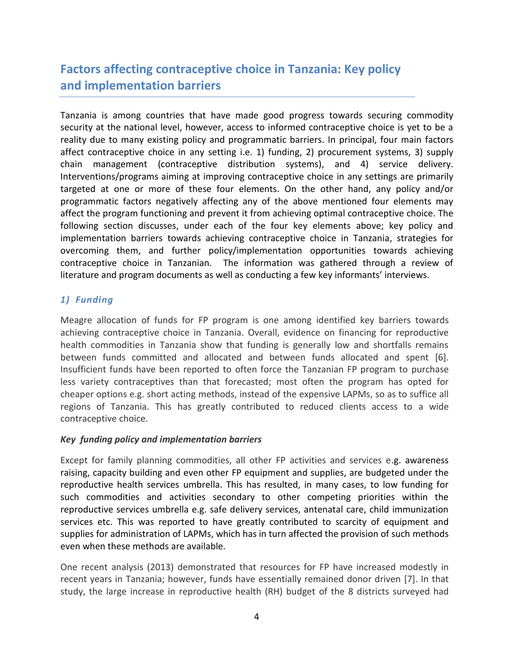# **Factors affecting contraceptive choice in Tanzania: Key policy and implementation barriers**

Tanzania is among countries that have made good progress towards securing commodity security at the national level, however, access to informed contraceptive choice is yet to be a reality due to many existing policy and programmatic barriers. In principal, four main factors affect contraceptive choice in any setting i.e. 1) funding, 2) procurement systems, 3) supply chain management (contraceptive distribution systems), and 4) service delivery. Interventions/programs aiming at improving contraceptive choice in any settings are primarily targeted at one or more of these four elements. On the other hand, any policy and/or programmatic factors negatively affecting any of the above mentioned four elements may affect the program functioning and prevent it from achieving optimal contraceptive choice. The following section discusses, under each of the four key elements above; key policy and implementation barriers towards achieving contraceptive choice in Tanzania, strategies for overcoming them, and further policy/implementation opportunities towards achieving contraceptive choice in Tanzanian. The information was gathered through a review of literature and program documents as well as conducting a few key informants' interviews.

## *1) Funding*

Meagre allocation of funds for FP program is one among identified key barriers towards achieving contraceptive choice in Tanzania. Overall, evidence on financing for reproductive health commodities in Tanzania show that funding is generally low and shortfalls remains between funds committed and allocated and between funds allocated and spent [\[6\]](#page-13-5). Insufficient funds have been reported to often force the Tanzanian FP program to purchase less variety contraceptives than that forecasted; most often the program has opted for cheaper options e.g. short acting methods, instead of the expensive LAPMs, so as to suffice all regions of Tanzania. This has greatly contributed to reduced clients access to a wide contraceptive choice.

#### *Key funding policy and implementation barriers*

Except for family planning commodities, all other FP activities and services e.g. awareness raising, capacity building and even other FP equipment and supplies, are budgeted under the reproductive health services umbrella. This has resulted, in many cases, to low funding for such commodities and activities secondary to other competing priorities within the reproductive services umbrella e.g. safe delivery services, antenatal care, child immunization services etc. This was reported to have greatly contributed to scarcity of equipment and supplies for administration of LAPMs, which has in turn affected the provision of such methods even when these methods are available.

One recent analysis (2013) demonstrated that resources for FP have increased modestly in recent years in Tanzania; however, funds have essentially remained donor driven [\[7\]](#page-13-6). In that study, the large increase in reproductive health (RH) budget of the 8 districts surveyed had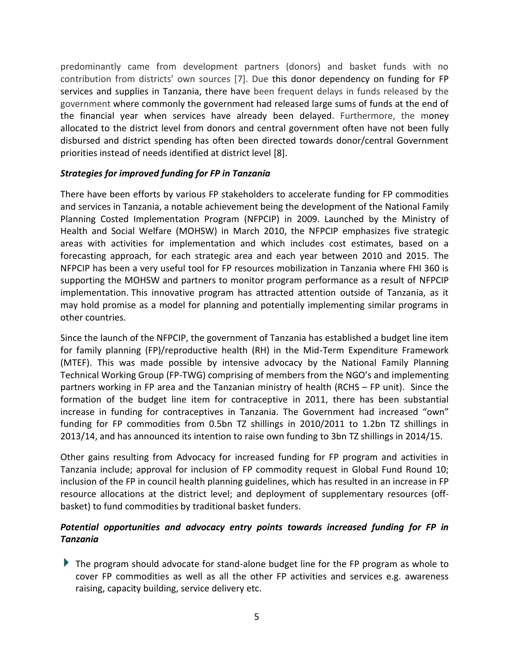predominantly came from development partners (donors) and basket funds with no contribution from districts' own sources [\[7\]](#page-13-6). Due this donor dependency on funding for FP services and supplies in Tanzania, there have been frequent delays in funds released by the government where commonly the government had released large sums of funds at the end of the financial year when services have already been delayed. Furthermore, the money allocated to the district level from donors and central government often have not been fully disbursed and district spending has often been directed towards donor/central Government priorities instead of needs identified at district level [\[8\]](#page-13-7).

### *Strategies for improved funding for FP in Tanzania*

There have been efforts by various FP stakeholders to accelerate funding for FP commodities and services in Tanzania, a notable achievement being the development of the National Family Planning Costed Implementation Program (NFPCIP) in 2009. Launched by the Ministry of Health and Social Welfare (MOHSW) in March 2010, the NFPCIP emphasizes five strategic areas with activities for implementation and which includes cost estimates, based on a forecasting approach, for each strategic area and each year between 2010 and 2015. The NFPCIP has been a very useful tool for FP resources mobilization in Tanzania where FHI 360 is supporting the MOHSW and partners to monitor program performance as a result of NFPCIP implementation. This innovative program has attracted attention outside of Tanzania, as it may hold promise as a model for planning and potentially implementing similar programs in other countries.

Since the launch of the NFPCIP, the government of Tanzania has established a budget line item for family planning (FP)/reproductive health (RH) in the Mid-Term Expenditure Framework (MTEF). This was made possible by intensive advocacy by the National Family Planning Technical Working Group (FP-TWG) comprising of members from the NGO's and implementing partners working in FP area and the Tanzanian ministry of health (RCHS – FP unit). Since the formation of the budget line item for contraceptive in 2011, there has been substantial increase in funding for contraceptives in Tanzania. The Government had increased "own" funding for FP commodities from 0.5bn TZ shillings in 2010/2011 to 1.2bn TZ shillings in 2013/14, and has announced its intention to raise own funding to 3bn TZ shillings in 2014/15.

Other gains resulting from Advocacy for increased funding for FP program and activities in Tanzania include; approval for inclusion of FP commodity request in Global Fund Round 10; inclusion of the FP in council health planning guidelines, which has resulted in an increase in FP resource allocations at the district level; and deployment of supplementary resources (offbasket) to fund commodities by traditional basket funders.

## *Potential opportunities and advocacy entry points towards increased funding for FP in Tanzania*

The program should advocate for stand-alone budget line for the FP program as whole to cover FP commodities as well as all the other FP activities and services e.g. awareness raising, capacity building, service delivery etc.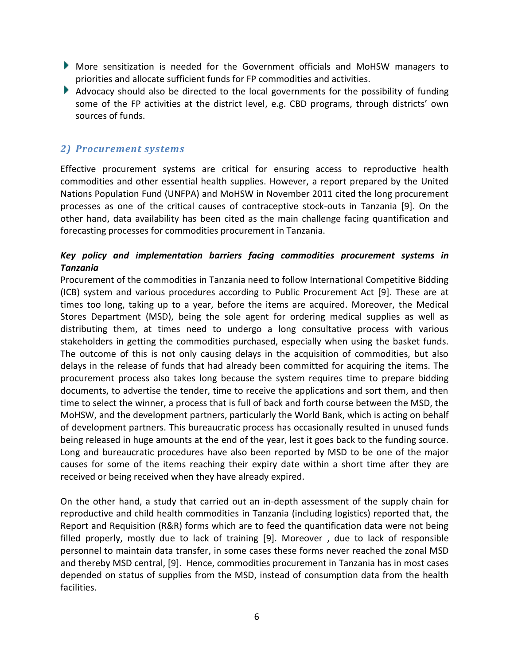- More sensitization is needed for the Government officials and MoHSW managers to priorities and allocate sufficient funds for FP commodities and activities.
- Advocacy should also be directed to the local governments for the possibility of funding some of the FP activities at the district level, e.g. CBD programs, through districts' own sources of funds.

## *2) Procurement systems*

Effective procurement systems are critical for ensuring access to reproductive health commodities and other essential health supplies. However, a report prepared by the United Nations Population Fund (UNFPA) and MoHSW in November 2011 cited the long procurement processes as one of the critical causes of contraceptive stock-outs in Tanzania [\[9\]](#page-13-8). On the other hand, data availability has been cited as the main challenge facing quantification and forecasting processes for commodities procurement in Tanzania.

## *Key policy and implementation barriers facing commodities procurement systems in Tanzania*

Procurement of the commodities in Tanzania need to follow International Competitive Bidding (ICB) system and various procedures according to Public Procurement Act [\[9\]](#page-13-8). These are at times too long, taking up to a year, before the items are acquired. Moreover, the Medical Stores Department (MSD), being the sole agent for ordering medical supplies as well as distributing them, at times need to undergo a long consultative process with various stakeholders in getting the commodities purchased, especially when using the basket funds. The outcome of this is not only causing delays in the acquisition of commodities, but also delays in the release of funds that had already been committed for acquiring the items. The procurement process also takes long because the system requires time to prepare bidding documents, to advertise the tender, time to receive the applications and sort them, and then time to select the winner, a process that is full of back and forth course between the MSD, the MoHSW, and the development partners, particularly the World Bank, which is acting on behalf of development partners. This bureaucratic process has occasionally resulted in unused funds being released in huge amounts at the end of the year, lest it goes back to the funding source. Long and bureaucratic procedures have also been reported by MSD to be one of the major causes for some of the items reaching their expiry date within a short time after they are received or being received when they have already expired.

On the other hand, a study that carried out an in-depth assessment of the supply chain for reproductive and child health commodities in Tanzania (including logistics) reported that, the Report and Requisition (R&R) forms which are to feed the quantification data were not being filled properly, mostly due to lack of training [\[9\]](#page-13-8). Moreover , due to lack of responsible personnel to maintain data transfer, in some cases these forms never reached the zonal MSD and thereby MSD central, [\[9\]](#page-13-8). Hence, commodities procurement in Tanzania has in most cases depended on status of supplies from the MSD, instead of consumption data from the health facilities.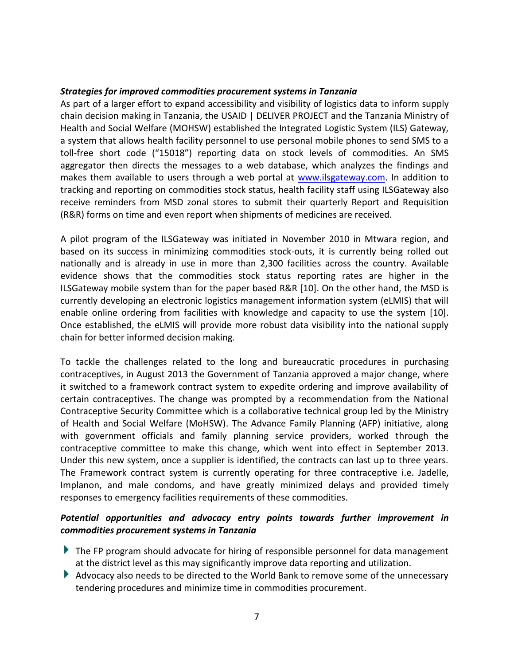### *Strategies for improved commodities procurement systems in Tanzania*

As part of a larger effort to expand accessibility and visibility of logistics data to inform supply chain decision making in Tanzania, the USAID | DELIVER PROJECT and the Tanzania Ministry of Health and Social Welfare (MOHSW) established the Integrated Logistic System (ILS) Gateway, a system that allows health facility personnel to use personal mobile phones to send SMS to a toll-free short code ("15018") reporting data on stock levels of commodities. An SMS aggregator then directs the messages to a web database, which analyzes the findings and makes them available to users through a web portal at [www.ilsgateway.com.](http://www.ilsgateway.com/) In addition to tracking and reporting on commodities stock status, health facility staff using ILSGateway also receive reminders from MSD zonal stores to submit their quarterly Report and Requisition (R&R) forms on time and even report when shipments of medicines are received.

A pilot program of the ILSGateway was initiated in November 2010 in Mtwara region, and based on its success in minimizing commodities stock-outs, it is currently being rolled out nationally and is already in use in more than 2,300 facilities across the country. Available evidence shows that the commodities stock status reporting rates are higher in the ILSGateway mobile system than for the paper based R&R [\[10\]](#page-13-9). On the other hand, the MSD is currently developing an electronic logistics management information system (eLMIS) that will enable online ordering from facilities with knowledge and capacity to use the system [\[10\]](#page-13-9). Once established, the eLMIS will provide more robust data visibility into the national supply chain for better informed decision making.

To tackle the challenges related to the long and bureaucratic procedures in purchasing contraceptives, in August 2013 the Government of Tanzania approved a major change, where it switched to a framework contract system to expedite ordering and improve availability of certain contraceptives. The change was prompted by a recommendation from the National Contraceptive Security Committee which is a collaborative technical group led by the Ministry of Health and Social Welfare (MoHSW). The Advance Family Planning (AFP) initiative, along with government officials and family planning service providers, worked through the contraceptive committee to make this change, which went into effect in September 2013. Under this new system, once a supplier is identified, the contracts can last up to three years. The Framework contract system is currently operating for three contraceptive i.e. Jadelle, Implanon, and male condoms, and have greatly minimized delays and provided timely responses to emergency facilities requirements of these commodities.

## *Potential opportunities and advocacy entry points towards further improvement in commodities procurement systems in Tanzania*

- The FP program should advocate for hiring of responsible personnel for data management at the district level as this may significantly improve data reporting and utilization.
- Advocacy also needs to be directed to the World Bank to remove some of the unnecessary tendering procedures and minimize time in commodities procurement.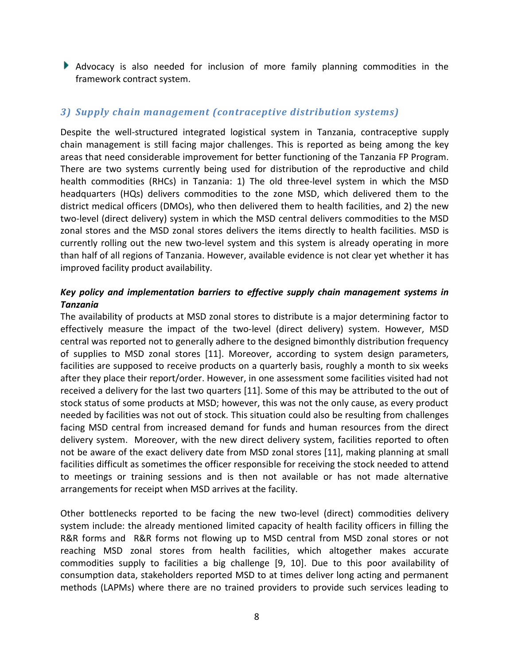Advocacy is also needed for inclusion of more family planning commodities in the framework contract system.

## *3) Supply chain management (contraceptive distribution systems)*

Despite the well-structured integrated logistical system in Tanzania, contraceptive supply chain management is still facing major challenges. This is reported as being among the key areas that need considerable improvement for better functioning of the Tanzania FP Program. There are two systems currently being used for distribution of the reproductive and child health commodities (RHCs) in Tanzania: 1) The old three-level system in which the MSD headquarters (HQs) delivers commodities to the zone MSD, which delivered them to the district medical officers (DMOs), who then delivered them to health facilities, and 2) the new two-level (direct delivery) system in which the MSD central delivers commodities to the MSD zonal stores and the MSD zonal stores delivers the items directly to health facilities. MSD is currently rolling out the new two-level system and this system is already operating in more than half of all regions of Tanzania. However, available evidence is not clear yet whether it has improved facility product availability.

## *Key policy and implementation barriers to effective supply chain management systems in Tanzania*

The availability of products at MSD zonal stores to distribute is a major determining factor to effectively measure the impact of the two-level (direct delivery) system. However, MSD central was reported not to generally adhere to the designed bimonthly distribution frequency of supplies to MSD zonal stores [\[11\]](#page-13-10). Moreover, according to system design parameters, facilities are supposed to receive products on a quarterly basis, roughly a month to six weeks after they place their report/order. However, in one assessment some facilities visited had not received a delivery for the last two quarters [\[11\]](#page-13-10). Some of this may be attributed to the out of stock status of some products at MSD; however, this was not the only cause, as every product needed by facilities was not out of stock. This situation could also be resulting from challenges facing MSD central from increased demand for funds and human resources from the direct delivery system. Moreover, with the new direct delivery system, facilities reported to often not be aware of the exact delivery date from MSD zonal stores [\[11\]](#page-13-10), making planning at small facilities difficult as sometimes the officer responsible for receiving the stock needed to attend to meetings or training sessions and is then not available or has not made alternative arrangements for receipt when MSD arrives at the facility.

Other bottlenecks reported to be facing the new two-level (direct) commodities delivery system include: the already mentioned limited capacity of health facility officers in filling the R&R forms and R&R forms not flowing up to MSD central from MSD zonal stores or not reaching MSD zonal stores from health facilities, which altogether makes accurate commodities supply to facilities a big challenge [\[9,](#page-13-8) [10\]](#page-13-9). Due to this poor availability of consumption data, stakeholders reported MSD to at times deliver long acting and permanent methods (LAPMs) where there are no trained providers to provide such services leading to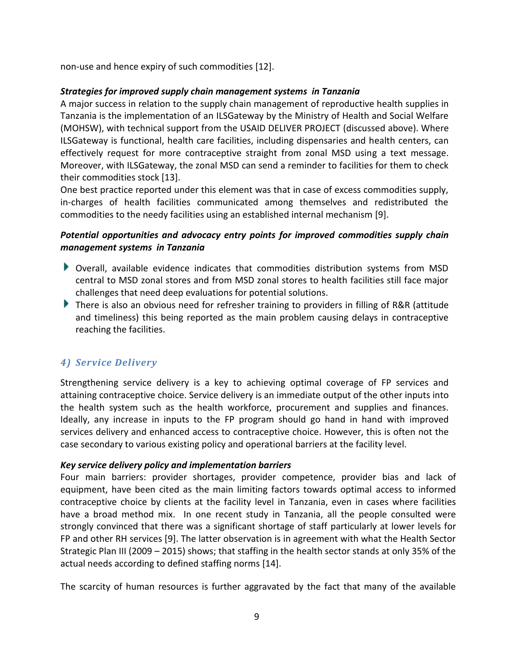non-use and hence expiry of such commodities [\[12\]](#page-13-11).

### *Strategies for improved supply chain management systems in Tanzania*

A major success in relation to the supply chain management of reproductive health supplies in Tanzania is the implementation of an ILSGateway by the Ministry of Health and Social Welfare (MOHSW), with technical support from the USAID DELIVER PROJECT (discussed above). Where ILSGateway is functional, health care facilities, including dispensaries and health centers, can effectively request for more contraceptive straight from zonal MSD using a text message. Moreover, with ILSGateway, the zonal MSD can send a reminder to facilities for them to check their commodities stock [\[13\]](#page-13-12).

One best practice reported under this element was that in case of excess commodities supply, in-charges of health facilities communicated among themselves and redistributed the commodities to the needy facilities using an established internal mechanism [\[9\]](#page-13-8).

## *Potential opportunities and advocacy entry points for improved commodities supply chain management systems in Tanzania*

- Overall, available evidence indicates that commodities distribution systems from MSD central to MSD zonal stores and from MSD zonal stores to health facilities still face major challenges that need deep evaluations for potential solutions.
- There is also an obvious need for refresher training to providers in filling of R&R (attitude and timeliness) this being reported as the main problem causing delays in contraceptive reaching the facilities.

## *4) Service Delivery*

Strengthening service delivery is a key to achieving optimal coverage of FP services and attaining contraceptive choice. Service delivery is an immediate output of the other inputs into the health system such as the health workforce, procurement and supplies and finances. Ideally, any increase in inputs to the FP program should go hand in hand with improved services delivery and enhanced access to contraceptive choice. However, this is often not the case secondary to various existing policy and operational barriers at the facility level.

#### *Key service delivery policy and implementation barriers*

Four main barriers: provider shortages, provider competence, provider bias and lack of equipment, have been cited as the main limiting factors towards optimal access to informed contraceptive choice by clients at the facility level in Tanzania, even in cases where facilities have a broad method mix. In one recent study in Tanzania, all the people consulted were strongly convinced that there was a significant shortage of staff particularly at lower levels for FP and other RH services [\[9\]](#page-13-8). The latter observation is in agreement with what the Health Sector Strategic Plan III (2009 – 2015) shows; that staffing in the health sector stands at only 35% of the actual needs according to defined staffing norms [\[14\]](#page-13-13).

The scarcity of human resources is further aggravated by the fact that many of the available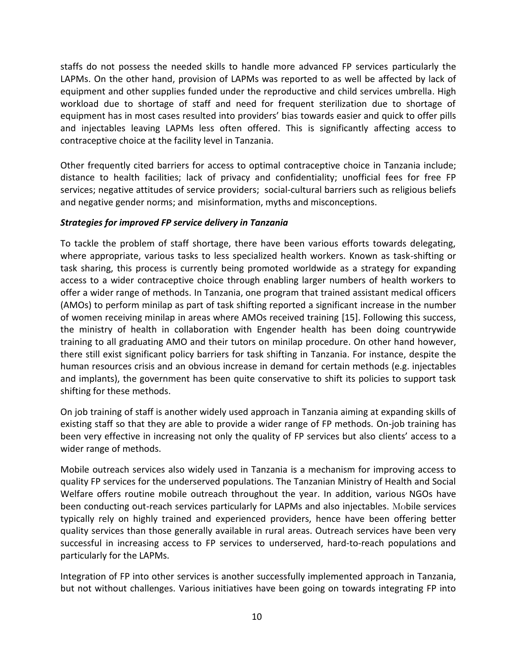staffs do not possess the needed skills to handle more advanced FP services particularly the LAPMs. On the other hand, provision of LAPMs was reported to as well be affected by lack of equipment and other supplies funded under the reproductive and child services umbrella. High workload due to shortage of staff and need for frequent sterilization due to shortage of equipment has in most cases resulted into providers' bias towards easier and quick to offer pills and injectables leaving LAPMs less often offered. This is significantly affecting access to contraceptive choice at the facility level in Tanzania.

Other frequently cited barriers for access to optimal contraceptive choice in Tanzania include; distance to health facilities; lack of privacy and confidentiality; unofficial fees for free FP services; negative attitudes of service providers; social-cultural barriers such as religious beliefs and negative gender norms; and misinformation, myths and misconceptions.

#### *Strategies for improved FP service delivery in Tanzania*

To tackle the problem of staff shortage, there have been various efforts towards delegating, where appropriate, various tasks to less specialized health workers. Known as task-shifting or task sharing, this process is currently being promoted worldwide as a strategy for expanding access to a wider contraceptive choice through enabling larger numbers of health workers to offer a wider range of methods. In Tanzania, one program that trained assistant medical officers (AMOs) to perform minilap as part of task shifting reported a significant increase in the number of women receiving minilap in areas where AMOs received training [\[15\]](#page-13-14). Following this success, the ministry of health in collaboration with Engender health has been doing countrywide training to all graduating AMO and their tutors on minilap procedure. On other hand however, there still exist significant policy barriers for task shifting in Tanzania. For instance, despite the human resources crisis and an obvious increase in demand for certain methods (e.g. injectables and implants), the government has been quite conservative to shift its policies to support task shifting for these methods.

On job training of staff is another widely used approach in Tanzania aiming at expanding skills of existing staff so that they are able to provide a wider range of FP methods. On-job training has been very effective in increasing not only the quality of FP services but also clients' access to a wider range of methods.

Mobile outreach services also widely used in Tanzania is a mechanism for improving access to quality FP services for the underserved populations. The Tanzanian Ministry of Health and Social Welfare offers routine mobile outreach throughout the year. In addition, various NGOs have been conducting out-reach services particularly for LAPMs and also injectables. Mobile services typically rely on highly trained and experienced providers, hence have been offering better quality services than those generally available in rural areas. Outreach services have been very successful in increasing access to FP services to underserved, hard-to-reach populations and particularly for the LAPMs.

Integration of FP into other services is another successfully implemented approach in Tanzania, but not without challenges. Various initiatives have been going on towards integrating FP into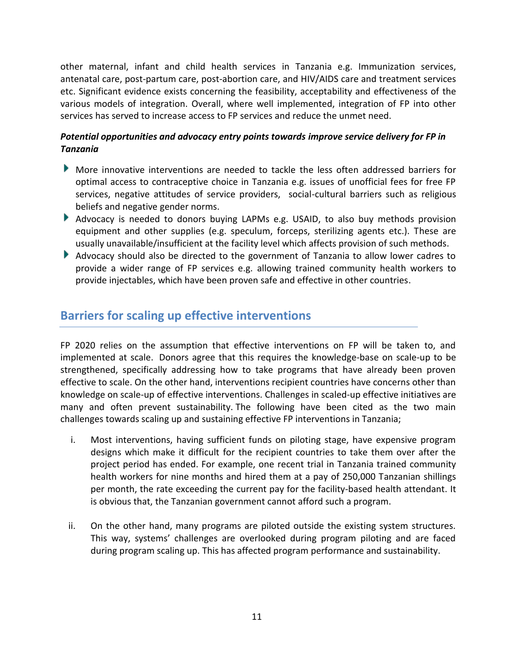other maternal, infant and child health services in Tanzania e.g. Immunization services, antenatal care, post-partum care, post-abortion care, and HIV/AIDS care and treatment services etc. Significant evidence exists concerning the feasibility, acceptability and effectiveness of the various models of integration. Overall, where well implemented, integration of FP into other services has served to increase access to FP services and reduce the unmet need.

## *Potential opportunities and advocacy entry points towards improve service delivery for FP in Tanzania*

- More innovative interventions are needed to tackle the less often addressed barriers for optimal access to contraceptive choice in Tanzania e.g. issues of unofficial fees for free FP services, negative attitudes of service providers, social-cultural barriers such as religious beliefs and negative gender norms.
- Advocacy is needed to donors buying LAPMs e.g. USAID, to also buy methods provision equipment and other supplies (e.g. speculum, forceps, sterilizing agents etc.). These are usually unavailable/insufficient at the facility level which affects provision of such methods.
- Advocacy should also be directed to the government of Tanzania to allow lower cadres to provide a wider range of FP services e.g. allowing trained community health workers to provide injectables, which have been proven safe and effective in other countries.

## **Barriers for scaling up effective interventions**

FP 2020 relies on the assumption that effective interventions on FP will be taken to, and implemented at scale. Donors agree that this requires the knowledge-base on scale-up to be strengthened, specifically addressing how to take programs that have already been proven effective to scale. On the other hand, interventions recipient countries have concerns other than knowledge on scale-up of effective interventions. Challenges in scaled-up effective initiatives are many and often prevent sustainability. The following have been cited as the two main challenges towards scaling up and sustaining effective FP interventions in Tanzania;

- i. Most interventions, having sufficient funds on piloting stage, have expensive program designs which make it difficult for the recipient countries to take them over after the project period has ended. For example, one recent trial in Tanzania trained community health workers for nine months and hired them at a pay of 250,000 Tanzanian shillings per month, the rate exceeding the current pay for the facility-based health attendant. It is obvious that, the Tanzanian government cannot afford such a program.
- ii. On the other hand, many programs are piloted outside the existing system structures. This way, systems' challenges are overlooked during program piloting and are faced during program scaling up. This has affected program performance and sustainability.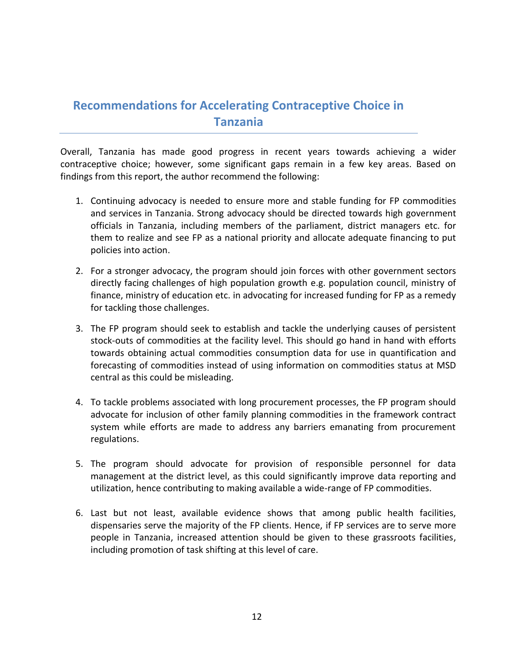## **Recommendations for Accelerating Contraceptive Choice in Tanzania**

Overall, Tanzania has made good progress in recent years towards achieving a wider contraceptive choice; however, some significant gaps remain in a few key areas. Based on findings from this report, the author recommend the following:

- 1. Continuing advocacy is needed to ensure more and stable funding for FP commodities and services in Tanzania. Strong advocacy should be directed towards high government officials in Tanzania, including members of the parliament, district managers etc. for them to realize and see FP as a national priority and allocate adequate financing to put policies into action.
- 2. For a stronger advocacy, the program should join forces with other government sectors directly facing challenges of high population growth e.g. population council, ministry of finance, ministry of education etc. in advocating for increased funding for FP as a remedy for tackling those challenges.
- 3. The FP program should seek to establish and tackle the underlying causes of persistent stock-outs of commodities at the facility level. This should go hand in hand with efforts towards obtaining actual commodities consumption data for use in quantification and forecasting of commodities instead of using information on commodities status at MSD central as this could be misleading.
- 4. To tackle problems associated with long procurement processes, the FP program should advocate for inclusion of other family planning commodities in the framework contract system while efforts are made to address any barriers emanating from procurement regulations.
- 5. The program should advocate for provision of responsible personnel for data management at the district level, as this could significantly improve data reporting and utilization, hence contributing to making available a wide-range of FP commodities.
- 6. Last but not least, available evidence shows that among public health facilities, dispensaries serve the majority of the FP clients. Hence, if FP services are to serve more people in Tanzania, increased attention should be given to these grassroots facilities, including promotion of task shifting at this level of care.